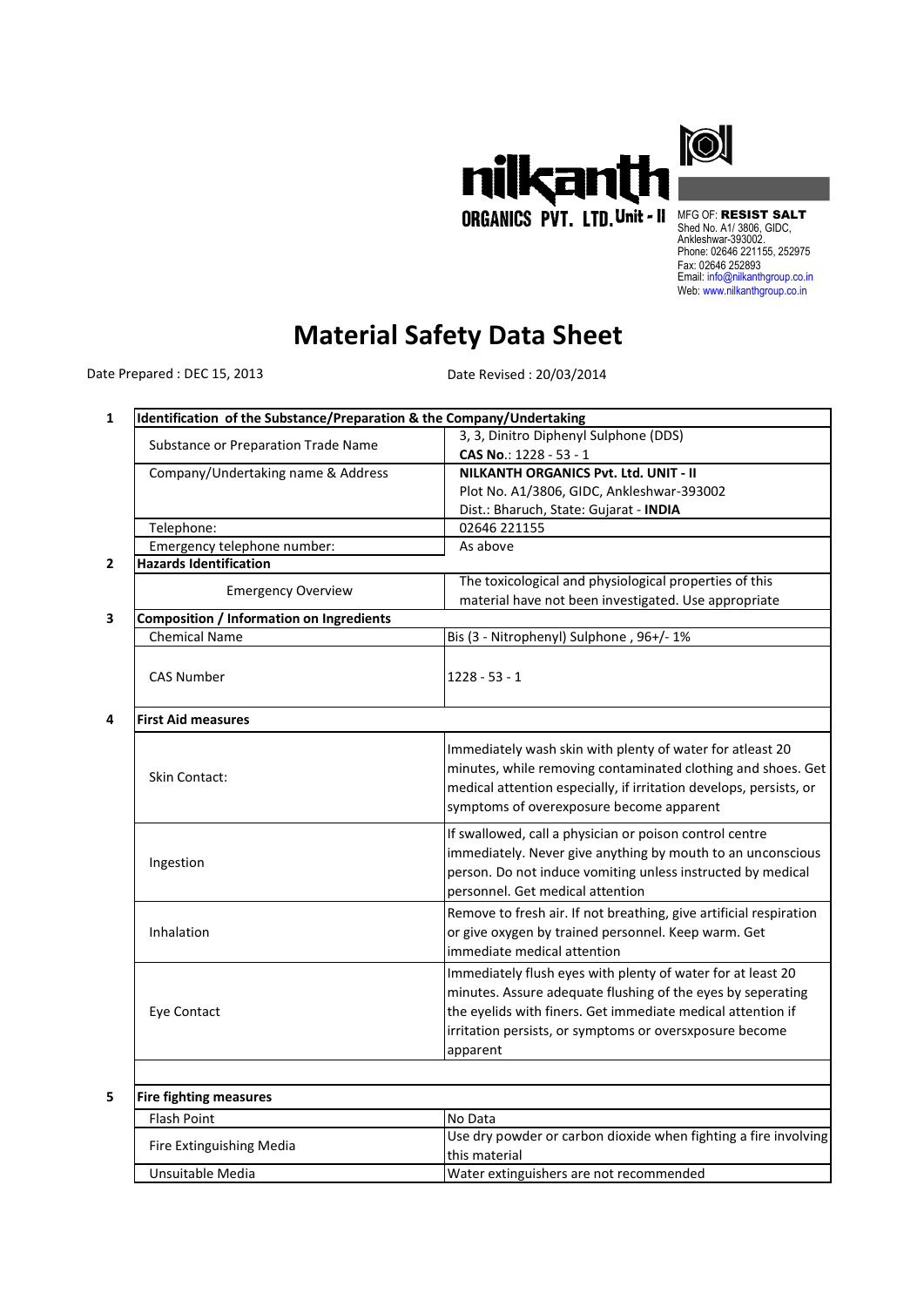

MFG OF: RESIST SALT Shed No. A1/ 3806, GIDC, Ankleshwar-393002. Phone: 02646 221155, 252975 Fax: 02646 252893 Email: info@nilkanthgroup.co.in Web: www.nilkanthgroup.co.in

## **Material Safety Data Sheet**

Date Prepared : DEC 15, 2013

Date Revised : 20/03/2014

| Identification of the Substance/Preparation & the Company/Undertaking |                                                                    |
|-----------------------------------------------------------------------|--------------------------------------------------------------------|
| Substance or Preparation Trade Name                                   | 3, 3, Dinitro Diphenyl Sulphone (DDS)                              |
|                                                                       | CAS No.: 1228 - 53 - 1                                             |
| Company/Undertaking name & Address                                    | NILKANTH ORGANICS Pvt. Ltd. UNIT - II                              |
|                                                                       | Plot No. A1/3806, GIDC, Ankleshwar-393002                          |
|                                                                       | Dist.: Bharuch, State: Gujarat - INDIA                             |
| Telephone:                                                            | 02646 221155                                                       |
| Emergency telephone number:                                           | As above                                                           |
| <b>Hazards Identification</b>                                         |                                                                    |
| <b>Emergency Overview</b>                                             | The toxicological and physiological properties of this             |
|                                                                       | material have not been investigated. Use appropriate               |
| <b>Composition / Information on Ingredients</b>                       |                                                                    |
| <b>Chemical Name</b>                                                  | Bis (3 - Nitrophenyl) Sulphone, 96+/-1%                            |
| <b>CAS Number</b>                                                     | $1228 - 53 - 1$                                                    |
|                                                                       |                                                                    |
| <b>First Aid measures</b>                                             |                                                                    |
|                                                                       | Immediately wash skin with plenty of water for atleast 20          |
|                                                                       | minutes, while removing contaminated clothing and shoes. Get       |
| <b>Skin Contact:</b>                                                  | medical attention especially, if irritation develops, persists, or |
|                                                                       |                                                                    |
|                                                                       | symptoms of overexposure become apparent                           |
|                                                                       | If swallowed, call a physician or poison control centre            |
| Ingestion                                                             | immediately. Never give anything by mouth to an unconscious        |
|                                                                       | person. Do not induce vomiting unless instructed by medical        |
|                                                                       | personnel. Get medical attention                                   |
|                                                                       | Remove to fresh air. If not breathing, give artificial respiration |
| Inhalation                                                            | or give oxygen by trained personnel. Keep warm. Get                |
|                                                                       | immediate medical attention                                        |
|                                                                       | Immediately flush eyes with plenty of water for at least 20        |
|                                                                       | minutes. Assure adequate flushing of the eyes by seperating        |
|                                                                       |                                                                    |
| Eye Contact                                                           | the eyelids with finers. Get immediate medical attention if        |
|                                                                       | irritation persists, or symptoms or oversxposure become            |
|                                                                       | apparent                                                           |
|                                                                       |                                                                    |
| <b>Fire fighting measures</b>                                         |                                                                    |
| Flash Point                                                           | No Data                                                            |
| Fire Extinguishing Media                                              | Use dry powder or carbon dioxide when fighting a fire involving    |
|                                                                       | this material                                                      |
| Unsuitable Media                                                      | Water extinguishers are not recommended                            |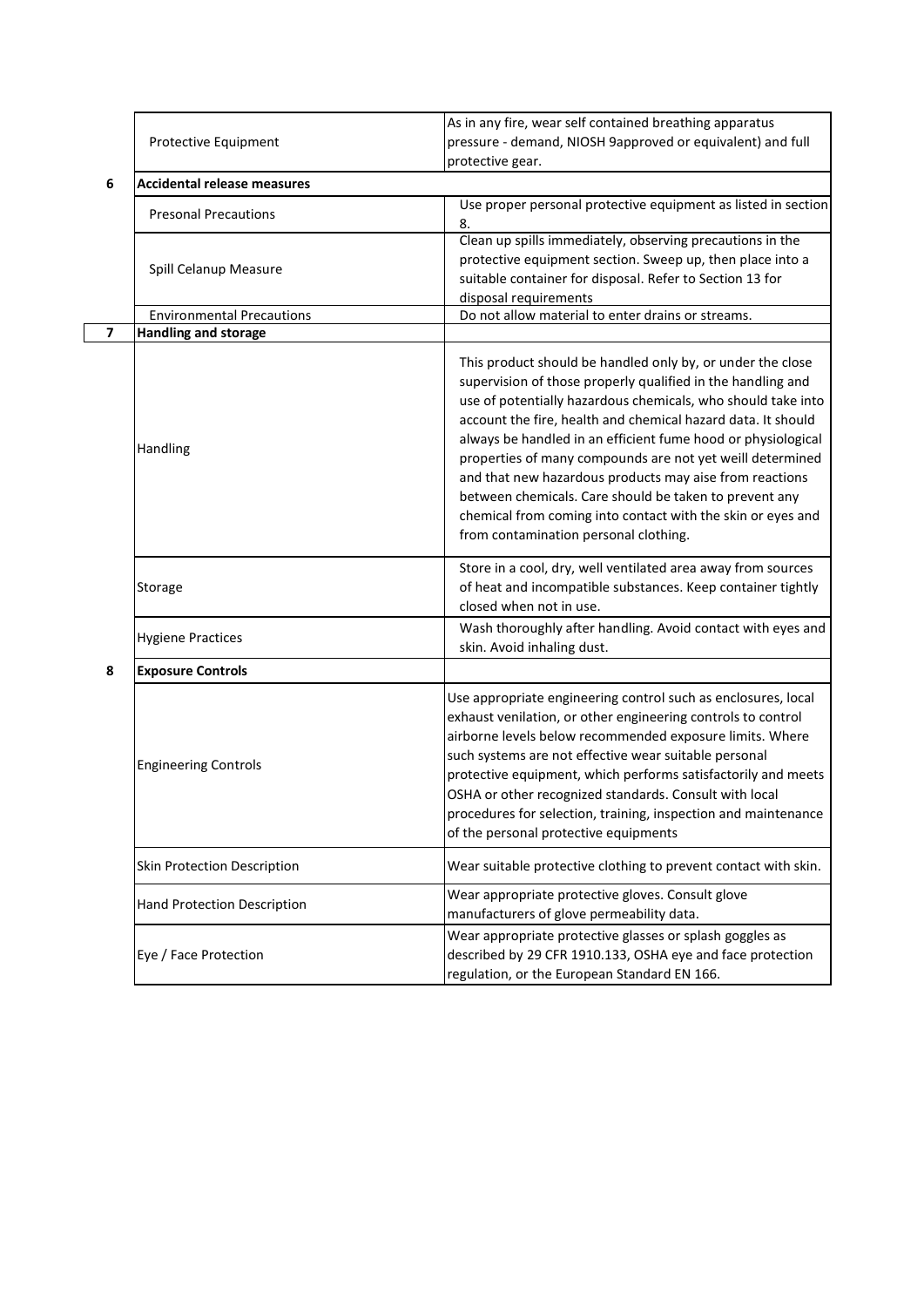|   | Protective Equipment               | As in any fire, wear self contained breathing apparatus                                                                                                                                                                                                                                                                                                                                                                                                                                                                                                                                                             |
|---|------------------------------------|---------------------------------------------------------------------------------------------------------------------------------------------------------------------------------------------------------------------------------------------------------------------------------------------------------------------------------------------------------------------------------------------------------------------------------------------------------------------------------------------------------------------------------------------------------------------------------------------------------------------|
|   |                                    | pressure - demand, NIOSH 9approved or equivalent) and full                                                                                                                                                                                                                                                                                                                                                                                                                                                                                                                                                          |
|   |                                    | protective gear.                                                                                                                                                                                                                                                                                                                                                                                                                                                                                                                                                                                                    |
| 6 | <b>Accidental release measures</b> |                                                                                                                                                                                                                                                                                                                                                                                                                                                                                                                                                                                                                     |
|   | <b>Presonal Precautions</b>        | Use proper personal protective equipment as listed in section<br>8.                                                                                                                                                                                                                                                                                                                                                                                                                                                                                                                                                 |
|   | Spill Celanup Measure              | Clean up spills immediately, observing precautions in the<br>protective equipment section. Sweep up, then place into a<br>suitable container for disposal. Refer to Section 13 for<br>disposal requirements                                                                                                                                                                                                                                                                                                                                                                                                         |
|   | <b>Environmental Precautions</b>   | Do not allow material to enter drains or streams.                                                                                                                                                                                                                                                                                                                                                                                                                                                                                                                                                                   |
| 7 | <b>Handling and storage</b>        |                                                                                                                                                                                                                                                                                                                                                                                                                                                                                                                                                                                                                     |
|   | Handling                           | This product should be handled only by, or under the close<br>supervision of those properly qualified in the handling and<br>use of potentially hazardous chemicals, who should take into<br>account the fire, health and chemical hazard data. It should<br>always be handled in an efficient fume hood or physiological<br>properties of many compounds are not yet weill determined<br>and that new hazardous products may aise from reactions<br>between chemicals. Care should be taken to prevent any<br>chemical from coming into contact with the skin or eyes and<br>from contamination personal clothing. |
|   | Storage                            | Store in a cool, dry, well ventilated area away from sources<br>of heat and incompatible substances. Keep container tightly<br>closed when not in use.                                                                                                                                                                                                                                                                                                                                                                                                                                                              |
|   | <b>Hygiene Practices</b>           | Wash thoroughly after handling. Avoid contact with eyes and<br>skin. Avoid inhaling dust.                                                                                                                                                                                                                                                                                                                                                                                                                                                                                                                           |
| 8 | <b>Exposure Controls</b>           |                                                                                                                                                                                                                                                                                                                                                                                                                                                                                                                                                                                                                     |
|   | <b>Engineering Controls</b>        | Use appropriate engineering control such as enclosures, local<br>exhaust venilation, or other engineering controls to control<br>airborne levels below recommended exposure limits. Where<br>such systems are not effective wear suitable personal<br>protective equipment, which performs satisfactorily and meets<br>OSHA or other recognized standards. Consult with local<br>procedures for selection, training, inspection and maintenance<br>of the personal protective equipments                                                                                                                            |
|   | <b>Skin Protection Description</b> | Wear suitable protective clothing to prevent contact with skin.                                                                                                                                                                                                                                                                                                                                                                                                                                                                                                                                                     |
|   | <b>Hand Protection Description</b> | Wear appropriate protective gloves. Consult glove<br>manufacturers of glove permeability data.                                                                                                                                                                                                                                                                                                                                                                                                                                                                                                                      |
|   | Eye / Face Protection              | Wear appropriate protective glasses or splash goggles as<br>described by 29 CFR 1910.133, OSHA eye and face protection<br>regulation, or the European Standard EN 166.                                                                                                                                                                                                                                                                                                                                                                                                                                              |